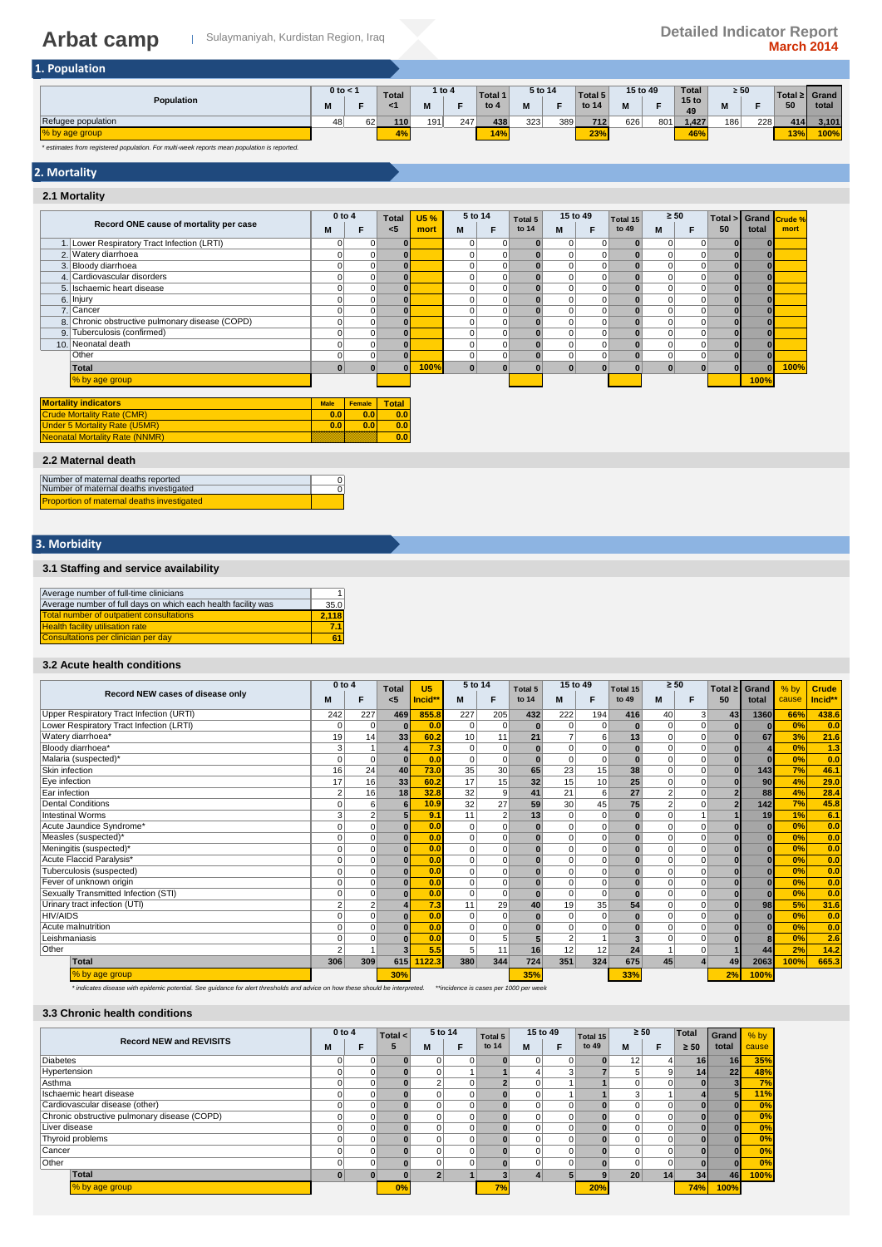| 1. Population      |                   |    |                    |     |          |                   |              |     |                  |               |     |                                        |                |     |     |                        |
|--------------------|-------------------|----|--------------------|-----|----------|-------------------|--------------|-----|------------------|---------------|-----|----------------------------------------|----------------|-----|-----|------------------------|
| Population         | $0$ to $<$ 1<br>M |    | <b>Total</b><br><1 | M   | 1 to $4$ | Total 1<br>to $4$ | 5 to 14<br>M | Е   | Total 5<br>to 14 | 15 to 49<br>M |     | <b>Total</b><br>15 <sub>to</sub><br>49 | $\geq 50$<br>ш |     | 50  | Total ≥ Grand<br>total |
| Refugee population | 48                | 62 | 110                | 191 | 247      | 438               | 323          | 389 | 712              | 626           | 801 | 1,427                                  | 186            | 228 | 414 | 3,101                  |
| % by age group     |                   |    | 4%                 |     |          | 14%               |              |     | 23%              |               |     | 46%                                    |                |     | 13% | 100%                   |

*\* estimates from registered population. For multi-week reports mean population is reported.*

## **2. Mortality**

#### **2.1 Mortality M F M F M F M F** 1. 0 0 **0** #DIV/0! 0 0 **0** 0 0 **0** 0 0 **0 0** #DIV/0! Lower Respiratory Tract Infection (LRTI) 2.|Watery diarrhoea | 0 | 0 | 0 | 0 | 0 | 0 | 0 | 0 | 0 | 0 | 0 | 0 | 0 | 0 | 0 3. 0 0 **0** #DIV/0! 0 0 **0** 0 0 **0** 0 0 **0 0** #DIV/0! Bloody diarrhoea 4. | Cardiovascular disorders | 0 | 0 | 0 | 0 | 0 | 0 | 0 | 0 | 0 | 0 | 0 | 5. 0 0 **0** #DIV/0! 0 0 **0** 0 0 **0** 0 0 **0 0** #DIV/0! Ischaemic heart disease 6. 0 0 **0** #DIV/0! 0 0 **0** 0 0 **0** 0 0 **0 0** #DIV/0! 7. 0 0 **0** #DIV/0! 0 0 **0** 0 0 **0** 0 0 **0 0** #DIV/0! 8. 0 0 **0** #DIV/0! 0 0 **0** 0 0 **0** 0 0 **0 0** #DIV/0! Cancer Chronic obstructive pulmonary disease (COPD) 9. Tuberculosis (confirmed) | 0 | 0 | 0 | 0 | 0 | 0 | 0 | 0 | 0 | 0 | | 10. 0 0 **0** #DIV/0! 0 0 **0** 0 0 **0** 0 0 **0 0** #DIV/0! Neonatal death 0 0 **0** #DIV/0! 0 0 **0** 0 0 **0** 0 0 **0 0** #DIV/0! **Total 0 0 0 100% 0 0 0 0 0 0 0 0 0 0 100%** #DIV/0! #DIV/0! #DIV/0! #DIV/0! **100% Male Female Total 0.0 0.0 0.0 0.0 0.0 0.0 0.0 Total <5** 6. Injury 2. Watery diarrhoea **Record ONE cause of mortality per case 0 to 4 Crude % mort 15 %** 5 to 14 **Total 5** 15 to 49 **Total 15** ≥ 50<br> **15 to 14 M** F to 49 **M** N **mort Total > 50 Grand total Total 5 to 14 5 to 14** Other<br>Total % by age group ity ind Mortality Rate (CMR) er 5 Mortality Rate (U Neonatal Mortality Rate (NNMR)

#### **2.2 Maternal death**

| Number of maternal deaths reported                |  |
|---------------------------------------------------|--|
| Number of maternal deaths investigated            |  |
| <b>Proportion of maternal deaths investigated</b> |  |

#### **3. Morbidity**

#### **3.1 Staffing and service availability**

| Average number of full-time clinicians                        |       |
|---------------------------------------------------------------|-------|
| Average number of full days on which each health facility was | 35.0  |
| <b>Total number of outpatient consultations</b>               | 2.118 |
| <b>Health facility utilisation rate</b>                       | 7.1   |
| Consultations per clinician per day                           |       |

#### **3.2 Acute health conditions**

|                                          | $0$ to 4       |                | <b>Total</b> | U <sub>5</sub> | 5 to 14         |                 | Total 5        | 15 to 49       |              | Total 15 | $\geq 50$ |          | Total $\geq$ | Grand        | $%$ by | <b>Crude</b> |
|------------------------------------------|----------------|----------------|--------------|----------------|-----------------|-----------------|----------------|----------------|--------------|----------|-----------|----------|--------------|--------------|--------|--------------|
| Record NEW cases of disease only         |                | F              | <5           | Incid**        | M               | F               | to 14          | M              | F            | to 49    | M         |          | 50           | total        | cause  | Incid**      |
| Upper Respiratory Tract Infection (URTI) | 242            | 227            | 469          | 855.8          | 227             | 205             | 432            | 222            | 194          | 416      | 40        | 3        | 43           | 1360         | 66%    | 438.6        |
| Lower Respiratory Tract Infection (LRTI) | 0              | $\Omega$       |              | 0.0            | 0               | 0               | $\bf{0}$       | $\mathbf 0$    | $\mathbf 0$  | $\bf{0}$ | $\Omega$  | $\Omega$ |              | $\Omega$     | 0%     | 0.0          |
| Watery diarrhoea*                        | 19             | 14             | 33           | 60.2           | 10 <sup>1</sup> | 11              | 21             | $\overline{7}$ | 6            | 13       | $\Omega$  | $\Omega$ | ŋ            | 67           | 3%     | 21.6         |
| Bloody diarrhoea*                        |                |                |              | 7.3            | $\Omega$        | $\overline{0}$  | $\mathbf{0}$   | $\mathbf 0$    | $\mathbf 0$  | $\bf{0}$ | $\Omega$  | O        |              |              | 0%     | 1.3          |
| Malaria (suspected)*                     |                | $\Omega$       | $\Omega$     | 0.0            | 0               | $\Omega$        | $\mathbf{0}$   | $\mathbf 0$    | $\mathbf 0$  | $\bf{0}$ | $\Omega$  | 0        |              | $\Omega$     | 0%     | 0.0          |
| Skin infection                           | 16             | 24             | 40           | 73.0           | 35              | 30 <sup>1</sup> | 65             | 23             | 15           | 38       | $\Omega$  | 0        | $\bf{0}$     | 143          | 7%     | 46.1         |
| Eye infection                            | 17             | 16             | 33           | 60.2           | 17              | 15              | 32             | 15             | 10           | 25       | $\Omega$  | $\Omega$ |              | 90           | 4%     | 29.0         |
| Ear infection                            | $\overline{2}$ | 16             | 18           | 32.8           | 32              | 9               | 41             | 21             | 6            | 27       | 2         | $\Omega$ |              | 88           | 4%     | 28.4         |
| <b>Dental Conditions</b>                 |                | 6              | 6            | 10.9           | 32              | 27              | 59             | 30             | 45           | 75       | $\Omega$  |          |              | 142          | 7%     | 45.8         |
| <b>Intestinal Worms</b>                  | 3              | $\overline{2}$ | 5            | 9.1            | 11              | $\overline{2}$  | 13             | $\mathbf 0$    | $\mathbf 0$  | $\bf{0}$ | $\Omega$  |          |              | 19           | 1%     | 6.1          |
| Acute Jaundice Syndrome*                 | 0              | $\Omega$       | $\bf{0}$     | 0.0            | $\Omega$        | $\Omega$        | $\mathbf{0}$   | $\mathbf 0$    | $\mathbf 0$  | $\bf{0}$ | $\Omega$  | O        |              | $\mathbf{0}$ | 0%     | 0.0          |
| Measles (suspected)*                     |                | $\Omega$       | $\Omega$     | 0.0            | $\Omega$        | $\Omega$        | $\mathbf{0}$   | $\mathbf 0$    | $\Omega$     | n        | $\Omega$  | O        |              | $\Omega$     | 0%     | 0.0          |
| Meningitis (suspected)*                  |                | $\Omega$       | $\Omega$     | 0.0            | $\Omega$        | $\Omega$        | $\mathbf{0}$   | $\mathbf 0$    | 0            |          | $\Omega$  | $\Omega$ |              | $\Omega$     | 0%     | 0.0          |
| Acute Flaccid Paralysis*                 |                | $\Omega$       | $\Omega$     | 0.0            | $\overline{0}$  | 0               | $\Omega$       | 0              | $\mathbf 0$  | $\Omega$ | $\Omega$  |          |              | $\Omega$     | 0%     | 0.0          |
| Tuberculosis (suspected)                 |                | $\Omega$       |              | 0.0            | $\overline{0}$  | $\Omega$        | $\mathbf{0}$   | 0              | $\mathbf 0$  | $\bf{0}$ | $\Omega$  | $\Omega$ |              | $\Omega$     | 0%     | 0.0          |
| Fever of unknown origin                  |                | $\Omega$       | $\Omega$     | 0.0            | $\Omega$        | $\Omega$        | $\mathbf{0}$   | $\mathbf 0$    | $\mathbf 0$  | $\Omega$ | $\Omega$  | O        |              | $\bf{0}$     | 0%     | 0.0          |
| Sexually Transmitted Infection (STI)     |                | $\Omega$       |              | 0.0            | $\Omega$        | $\Omega$        | $\mathbf{0}$   | $\mathbf 0$    | $\mathbf 0$  | $\bf{0}$ | $\Omega$  | 0        |              | $\bf{0}$     | 0%     | 0.0          |
| Urinary tract infection (UTI)            | $\overline{2}$ | $\overline{2}$ |              | 7.3            | 11              | 29              | 40             | 19             | 35           | 54       | $\Omega$  | $\Omega$ |              | 98           | 5%     | 31.6         |
| <b>HIV/AIDS</b>                          |                | $\Omega$       | $\mathbf{0}$ | 0.0            | 0               | $\Omega$        | $\bf{0}$       | $\mathbf 0$    | $\mathbf 0$  | $\bf{0}$ | $\Omega$  | $\Omega$ |              | $\mathbf{0}$ | 0%     | 0.0          |
| Acute malnutrition                       |                | $\Omega$       | $\Omega$     | 0.0            | $\Omega$        | $\Omega$        | $\Omega$       | $\mathbf 0$    | $\mathbf 0$  | n        | $\Omega$  | 0        |              | $\Omega$     | 0%     | 0.0          |
| Leishmaniasis                            |                | $\Omega$       |              | 0.0            | $\mathbf 0$     |                 | 5 <sub>5</sub> | $\overline{2}$ | $\mathbf{1}$ |          | $\Omega$  | $\Omega$ |              | 8            | 0%     | 2.6          |
| Other                                    | $\overline{2}$ |                | 3            | 5.5            | 5               | 11              | 16             | 12             | 12           | 24       |           | 0        |              | 44           | 2%     | 14.2         |
| Total                                    | 306            | 309            | 615          | 122.3          | 380             | 344             | 724            | 351            | 324          | 675      | 45        |          | 49           | 2063         | 100%   | 665.3        |
| % by age group                           |                |                | 30%          |                |                 |                 | 35%            |                |              | 33%      |           |          | 2%           | 100%         |        |              |

*\* indicates disease with epidemic potential. See guidance for alert thresholds and advice on how these should be interpreted. \*\*incidence is cases per 1000 per week*

#### **3.3 Chronic health conditions**

|                                              | $0$ to $4$ |          | Total $\leq$ |   | 5 to 14 | Total 5 |   | 15 to 49 | Total 15 |    | $\geq 50$ | Total     | Grand | $%$ by |
|----------------------------------------------|------------|----------|--------------|---|---------|---------|---|----------|----------|----|-----------|-----------|-------|--------|
| <b>Record NEW and REVISITS</b>               | M          |          | 5            | M |         | to 14   | M |          | to 49    | м  |           | $\geq 50$ | total | cause  |
| <b>Diabetes</b>                              |            | $\Omega$ |              | 0 |         |         |   | 0        |          | 12 |           | 16        | 16    | 35%    |
| Hypertension                                 |            |          |              |   |         |         |   | 3        |          |    | 9         | 14        | 22    | 48%    |
| Asthma                                       |            | 0        |              |   |         |         |   |          |          |    | $\Omega$  | ΟI        |       | 7%     |
| Ischaemic heart disease                      |            |          |              |   |         |         |   |          |          |    |           |           |       | 11%    |
| Cardiovascular disease (other)               |            | 0        |              |   |         |         |   | 0        |          |    |           |           |       | 0%     |
| Chronic obstructive pulmonary disease (COPD) |            | 0        |              |   |         |         |   | 0        |          |    | $\Omega$  |           |       | 0%     |
| Liver disease                                |            | 0        |              | 0 |         |         |   | 0        |          |    | $\Omega$  |           |       | 0%     |
| Thyroid problems                             |            | 0        |              |   |         |         |   | 0        |          |    | $\Omega$  |           |       | 0%     |
| Cancer                                       |            | $\Omega$ |              | 0 |         |         |   | 0        |          |    | $\Omega$  |           |       | 0%     |
| Other                                        | $\Omega$   | $\Omega$ |              | 0 |         |         |   | $\Omega$ |          |    | $\Omega$  | 0I        |       | 0%     |
| Total                                        | $\bf{0}$   |          |              |   |         |         |   |          |          | 20 | 14        | 34        | 46    | 100%   |
| % by age group                               |            |          | 0%           |   |         | 7%      |   |          | 20%      |    |           | 74%       | 100%  |        |